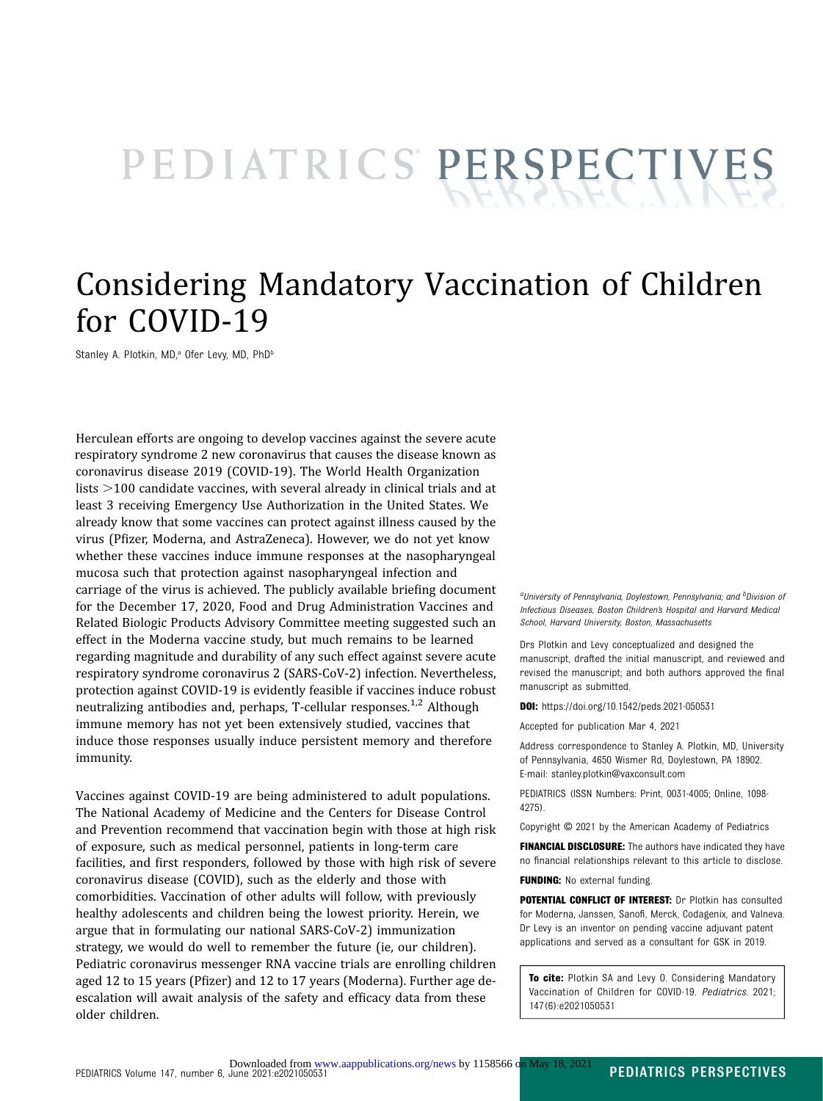# PEDIATRICS PERSPECTIVES

## Considering Mandatory Vaccination of Children for COVID-19

Stanley A. Plotkin, MD,<sup>a</sup> Ofer Levy, MD, PhD<sup>b</sup>

Herculean efforts are ongoing to develop vaccines against the severe acute respiratory syndrome 2 new coronavirus that causes the disease known as coronavirus disease 2019 (COVID-19). The World Health Organization lists  $>100$  candidate vaccines, with several already in clinical trials and at least 3 receiving Emergency Use Authorization in the United States. We already know that some vaccines can protect against illness caused by the virus (Pfizer, Moderna, and AstraZeneca). However, we do not yet know whether these vaccines induce immune responses at the nasopharyngeal mucosa such that protection against nasopharyngeal infection and carriage of the virus is achieved. The publicly available briefing document for the December 17, 2020, Food and Drug Administration Vaccines and Related Biologic Products Advisory Committee meeting suggested such an effect in the Moderna vaccine study, but much remains to be learned regarding magnitude and durability of any such effect against severe acute respiratory syndrome coronavirus 2 (SARS-CoV-2) infection. Nevertheless, protection against COVID-19 is evidently feasible if vaccines induce robust neutralizing antibodies and, perhaps, T-cellular responses.<sup>[1](#page-2-0),[2](#page-2-0)</sup> Although immune memory has not yet been extensively studied, vaccines that induce those responses usually induce persistent memory and therefore immunity.

Vaccines against COVID-19 are being administered to adult populations. The National Academy of Medicine and the Centers for Disease Control and Prevention recommend that vaccination begin with those at high risk of exposure, such as medical personnel, patients in long-term care facilities, and first responders, followed by those with high risk of severe coronavirus disease (COVID), such as the elderly and those with comorbidities. Vaccination of other adults will follow, with previously healthy adolescents and children being the lowest priority. Herein, we argue that in formulating our national SARS-CoV-2) immunization strategy, we would do well to remember the future (ie, our children). Pediatric coronavirus messenger RNA vaccine trials are enrolling children aged 12 to 15 years (Pfizer) and 12 to 17 years (Moderna). Further age deescalation will await analysis of the safety and efficacy data from these older children.

<sup>a</sup>University of Pennsylvania, Doylestown, Pennsylvania; and <sup>b</sup>Division of Infectious Diseases, Boston Children's Hospital and Harvard Medical School, Harvard University, Boston, Massachusetts

Drs Plotkin and Levy conceptualized and designed the manuscript, drafted the initial manuscript, and reviewed and revised the manuscript; and both authors approved the final manuscript as submitted.

DOI: <https://doi.org/10.1542/peds.2021-050531>

Accepted for publication Mar 4, 2021

Address correspondence to Stanley A. Plotkin, MD, University of Pennsylvania, 4650 Wismer Rd, Doylestown, PA 18902. E-mail: [stanley.plotkin@vaxconsult.com](mailto:stanley.plotkin@vaxconsult.com)

PEDIATRICS (ISSN Numbers: Print, 0031-4005; Online, 1098- 4275).

Copyright © 2021 by the American Academy of Pediatrics

FINANCIAL DISCLOSURE: The authors have indicated they have no financial relationships relevant to this article to disclose. **FUNDING:** No external funding.

POTENTIAL CONFLICT OF INTEREST: Dr Plotkin has consulted for Moderna, Janssen, Sanofi, Merck, Codagenix, and Valneva. Dr Levy is an inventor on pending vaccine adjuvant patent applications and served as a consultant for GSK in 2019.

To cite: Plotkin SA and Levy O. Considering Mandatory Vaccination of Children for COVID-19. Pediatrics. 2021; 147(6):e2021050531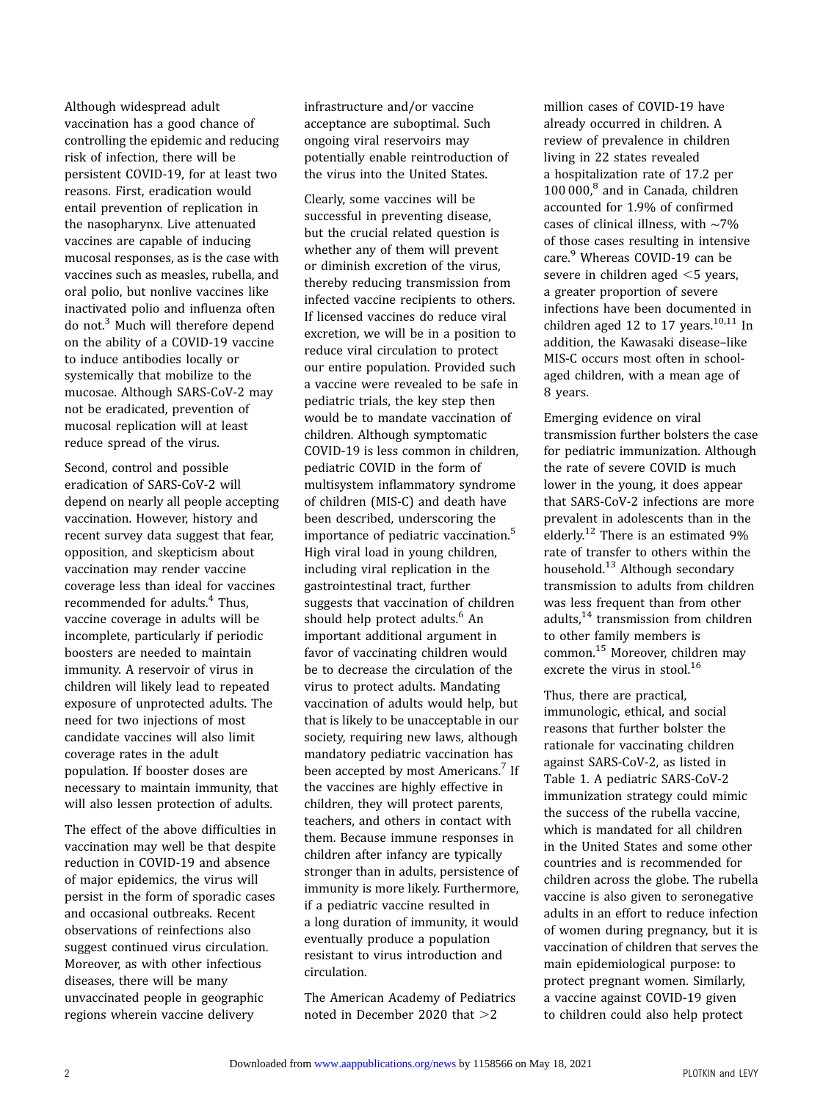Although widespread adult vaccination has a good chance of controlling the epidemic and reducing risk of infection, there will be persistent COVID-19, for at least two reasons. First, eradication would entail prevention of replication in the nasopharynx. Live attenuated vaccines are capable of inducing mucosal responses, as is the case with vaccines such as measles, rubella, and oral polio, but nonlive vaccines like inactivated polio and influenza often do not.[3](#page-2-0) Much will therefore depend on the ability of a COVID-19 vaccine to induce antibodies locally or systemically that mobilize to the mucosae. Although SARS-CoV-2 may not be eradicated, prevention of mucosal replication will at least reduce spread of the virus.

Second, control and possible eradication of SARS-CoV-2 will depend on nearly all people accepting vaccination. However, history and recent survey data suggest that fear, opposition, and skepticism about vaccination may render vaccine coverage less than ideal for vaccines recommended for adults.<sup>[4](#page-2-0)</sup> Thus, vaccine coverage in adults will be incomplete, particularly if periodic boosters are needed to maintain immunity. A reservoir of virus in children will likely lead to repeated exposure of unprotected adults. The need for two injections of most candidate vaccines will also limit coverage rates in the adult population. If booster doses are necessary to maintain immunity, that will also lessen protection of adults.

The effect of the above difficulties in vaccination may well be that despite reduction in COVID-19 and absence of major epidemics, the virus will persist in the form of sporadic cases and occasional outbreaks. Recent observations of reinfections also suggest continued virus circulation. Moreover, as with other infectious diseases, there will be many unvaccinated people in geographic regions wherein vaccine delivery

infrastructure and/or vaccine acceptance are suboptimal. Such ongoing viral reservoirs may potentially enable reintroduction of the virus into the United States.

Clearly, some vaccines will be successful in preventing disease, but the crucial related question is whether any of them will prevent or diminish excretion of the virus, thereby reducing transmission from infected vaccine recipients to others. If licensed vaccines do reduce viral excretion, we will be in a position to reduce viral circulation to protect our entire population. Provided such a vaccine were revealed to be safe in pediatric trials, the key step then would be to mandate vaccination of children. Although symptomatic COVID-19 is less common in children, pediatric COVID in the form of multisystem inflammatory syndrome of children (MIS-C) and death have been described, underscoring the importance of pediatric vaccination.<sup>[5](#page-2-0)</sup> High viral load in young children, including viral replication in the gastrointestinal tract, further suggests that vaccination of children should help protect adults.<sup>[6](#page-2-0)</sup> An important additional argument in favor of vaccinating children would be to decrease the circulation of the virus to protect adults. Mandating vaccination of adults would help, but that is likely to be unacceptable in our society, requiring new laws, although mandatory pediatric vaccination has been accepted by most Americans.<sup>[7](#page-2-0)</sup> If the vaccines are highly effective in children, they will protect parents, teachers, and others in contact with them. Because immune responses in children after infancy are typically stronger than in adults, persistence of immunity is more likely. Furthermore, if a pediatric vaccine resulted in a long duration of immunity, it would eventually produce a population resistant to virus introduction and circulation.

The American Academy of Pediatrics noted in December 2020 that  $>2$ 

million cases of COVID-19 have already occurred in children. A review of prevalence in children living in 22 states revealed a hospitalization rate of 17.2 per 100 000[,8](#page-2-0) and in Canada, children accounted for 1.9% of confirmed cases of clinical illness, with ∼7% of those cases resulting in intensive care.<sup>9</sup> Whereas COVID-19 can be severe in children aged  $\leq$  years, a greater proportion of severe infections have been documented in children aged 12 to 17 years. $10,11$  In addition, the Kawasaki disease–like MIS-C occurs most often in schoolaged children, with a mean age of 8 years.

Emerging evidence on viral transmission further bolsters the case for pediatric immunization. Although the rate of severe COVID is much lower in the young, it does appear that SARS-CoV-2 infections are more prevalent in adolescents than in the elderly.<sup>[12](#page-2-0)</sup> There is an estimated 9% rate of transfer to others within the household.[13](#page-2-0) Although secondary transmission to adults from children was less frequent than from other adults, $14$  transmission from children to other family members is common[.15](#page-3-0) Moreover, children may excrete the virus in stool.<sup>[16](#page-3-0)</sup>

Thus, there are practical, immunologic, ethical, and social reasons that further bolster the rationale for vaccinating children against SARS-CoV-2, as listed in Table 1. A pediatric SARS-CoV-2 immunization strategy could mimic the success of the rubella vaccine, which is mandated for all children in the United States and some other countries and is recommended for children across the globe. The rubella vaccine is also given to seronegative adults in an effort to reduce infection of women during pregnancy, but it is vaccination of children that serves the main epidemiological purpose: to protect pregnant women. Similarly, a vaccine against COVID-19 given to children could also help protect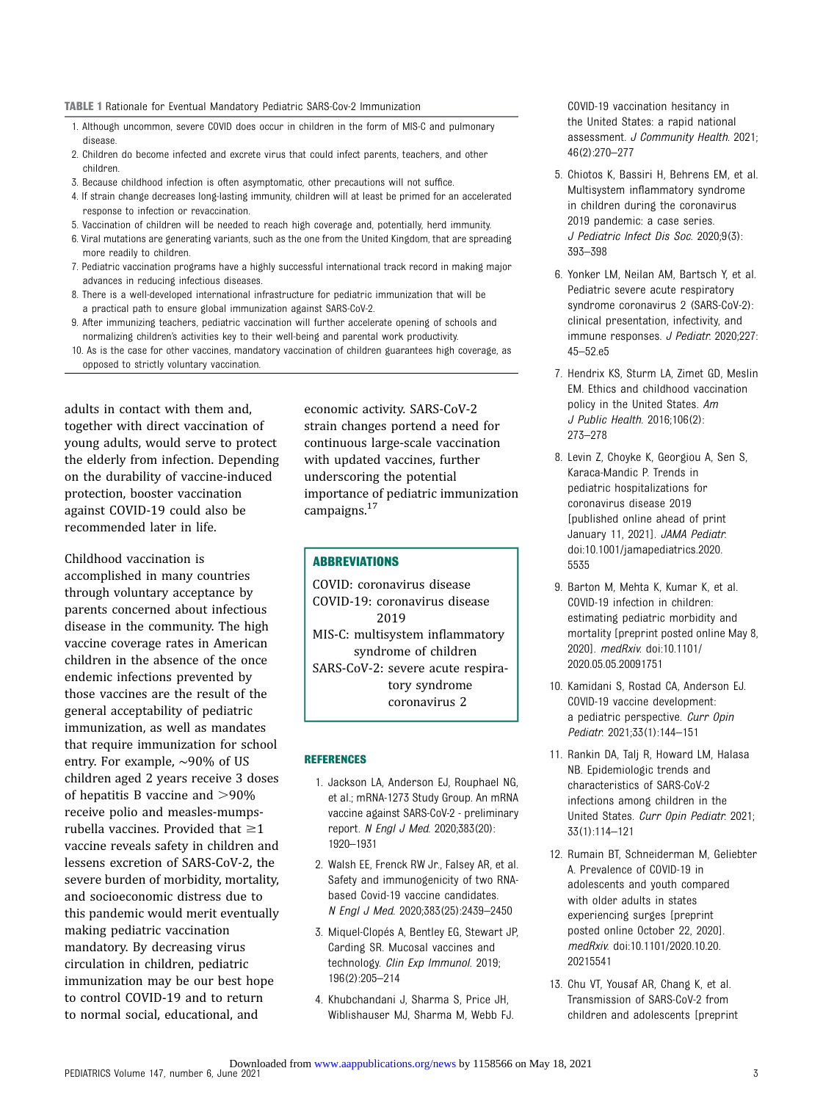#### <span id="page-2-0"></span>TABLE 1 Rationale for Eventual Mandatory Pediatric SARS-Cov-2 Immunization

- 1. Although uncommon, severe COVID does occur in children in the form of MIS-C and pulmonary disease.
- 2. Children do become infected and excrete virus that could infect parents, teachers, and other children.
- 3. Because childhood infection is often asymptomatic, other precautions will not suffice.
- 4. If strain change decreases long-lasting immunity, children will at least be primed for an accelerated response to infection or revaccination.
- 5. Vaccination of children will be needed to reach high coverage and, potentially, herd immunity. 6. Viral mutations are generating variants, such as the one from the United Kingdom, that are spreading more readily to children.
- 7. Pediatric vaccination programs have a highly successful international track record in making major advances in reducing infectious diseases.
- 8. There is a well-developed international infrastructure for pediatric immunization that will be a practical path to ensure global immunization against SARS-CoV-2.
- 9. After immunizing teachers, pediatric vaccination will further accelerate opening of schools and normalizing children's activities key to their well-being and parental work productivity.
- 10. As is the case for other vaccines, mandatory vaccination of children guarantees high coverage, as opposed to strictly voluntary vaccination.

adults in contact with them and, together with direct vaccination of young adults, would serve to protect the elderly from infection. Depending on the durability of vaccine-induced protection, booster vaccination against COVID-19 could also be recommended later in life.

Childhood vaccination is accomplished in many countries through voluntary acceptance by parents concerned about infectious disease in the community. The high vaccine coverage rates in American children in the absence of the once endemic infections prevented by those vaccines are the result of the general acceptability of pediatric immunization, as well as mandates that require immunization for school entry. For example, ∼90% of US children aged 2 years receive 3 doses of hepatitis B vaccine and  $>90\%$ receive polio and measles-mumpsrubella vaccines. Provided that  $\geq$ 1 vaccine reveals safety in children and lessens excretion of SARS-CoV-2, the severe burden of morbidity, mortality, and socioeconomic distress due to this pandemic would merit eventually making pediatric vaccination mandatory. By decreasing virus circulation in children, pediatric immunization may be our best hope to control COVID-19 and to return to normal social, educational, and

economic activity. SARS-CoV-2 strain changes portend a need for continuous large-scale vaccination with updated vaccines, further underscoring the potential importance of pediatric immunization campaigns.[17](#page-3-0)

#### ABBREVIATIONS

COVID: coronavirus disease COVID-19: coronavirus disease 2019 MIS-C: multisystem inflammatory syndrome of children SARS-CoV-2: severe acute respiratory syndrome coronavirus 2

#### **REFERENCES**

- 1. Jackson LA, Anderson EJ, Rouphael NG, et al.; mRNA-1273 Study Group. An mRNA vaccine against SARS-CoV-2 - preliminary report. N Engl J Med. 2020;383(20): 1920–1931
- 2. Walsh EE, Frenck RW Jr., Falsey AR, et al. Safety and immunogenicity of two RNAbased Covid-19 vaccine candidates. N Engl J Med. 2020;383(25):2439–2450
- 3. Miquel-Clopés A, Bentley EG, Stewart JP, Carding SR. Mucosal vaccines and technology. Clin Exp Immunol. 2019; 196(2):205–214
- 4. Khubchandani J, Sharma S, Price JH, Wiblishauser MJ, Sharma M, Webb FJ.

COVID-19 vaccination hesitancy in the United States: a rapid national assessment. J Community Health. 2021; 46(2):270–277

- 5. Chiotos K, Bassiri H, Behrens EM, et al. Multisystem inflammatory syndrome in children during the coronavirus 2019 pandemic: a case series. J Pediatric Infect Dis Soc. 2020;9(3): 393–398
- 6. Yonker LM, Neilan AM, Bartsch Y, et al. Pediatric severe acute respiratory syndrome coronavirus 2 (SARS-CoV-2): clinical presentation, infectivity, and immune responses. J Pediatr. 2020;227: 45–52.e5
- 7. Hendrix KS, Sturm LA, Zimet GD, Meslin EM. Ethics and childhood vaccination policy in the United States. Am J Public Health. 2016;106(2): 273–278
- 8. Levin Z, Choyke K, Georgiou A, Sen S, Karaca-Mandic P. Trends in pediatric hospitalizations for coronavirus disease 2019 [published online ahead of print January 11, 2021]. JAMA Pediatr. doi:10.1001/jamapediatrics.2020. 5535
- 9. Barton M, Mehta K, Kumar K, et al. COVID-19 infection in children: estimating pediatric morbidity and mortality [preprint posted online May 8, 2020]. medRxiv. doi:10.1101/ 2020.05.05.20091751
- 10. Kamidani S, Rostad CA, Anderson EJ. COVID-19 vaccine development: a pediatric perspective. Curr Opin Pediatr. 2021;33(1):144–151
- 11. Rankin DA, Talj R, Howard LM, Halasa NB. Epidemiologic trends and characteristics of SARS-CoV-2 infections among children in the United States. Curr Opin Pediatr. 2021; 33(1):114–121
- 12. Rumain BT, Schneiderman M, Geliebter A. Prevalence of COVID-19 in adolescents and youth compared with older adults in states experiencing surges [preprint posted online October 22, 2020]. medRxiv. doi:10.1101/2020.10.20. 20215541
- 13. Chu VT, Yousaf AR, Chang K, et al. Transmission of SARS-CoV-2 from children and adolescents [preprint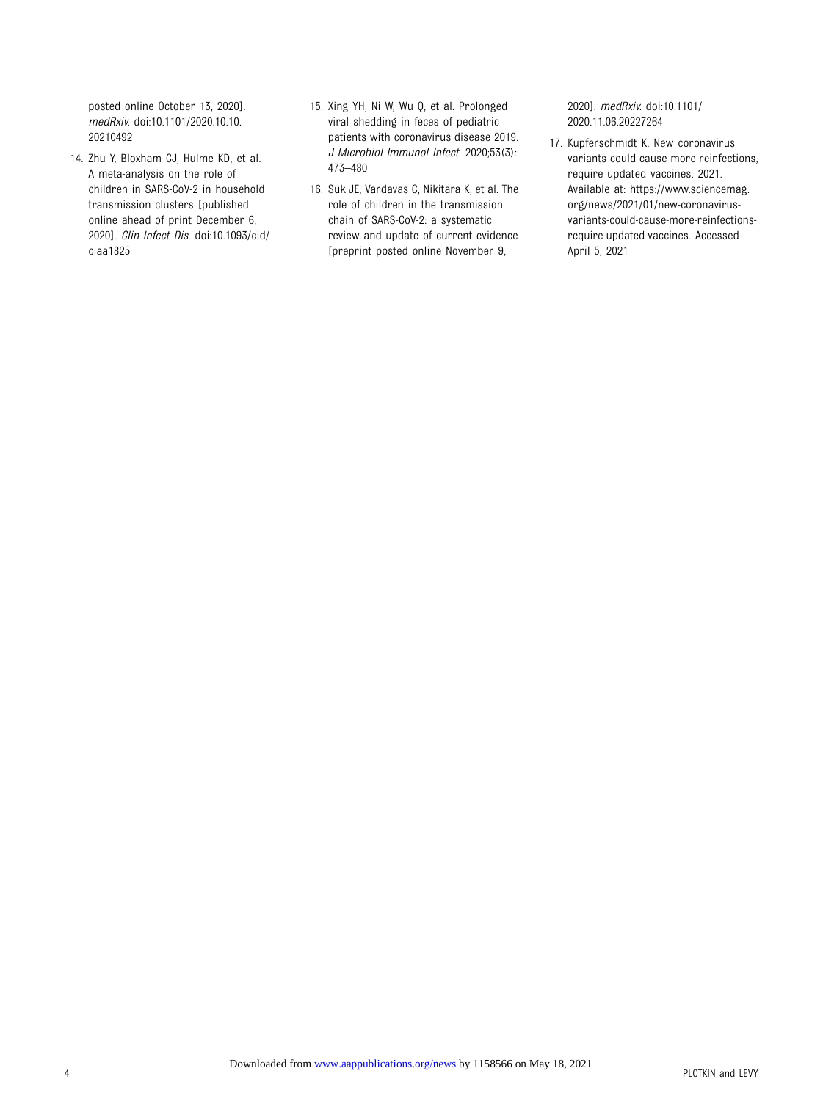<span id="page-3-0"></span>posted online October 13, 2020]. medRxiv. doi:10.1101/2020.10.10. 20210492

- 14. Zhu Y, Bloxham CJ, Hulme KD, et al. A meta-analysis on the role of children in SARS-CoV-2 in household transmission clusters [published online ahead of print December 6, 2020]. Clin Infect Dis. doi:10.1093/cid/ ciaa1825
- 15. Xing YH, Ni W, Wu Q, et al. Prolonged viral shedding in feces of pediatric patients with coronavirus disease 2019. J Microbiol Immunol Infect. 2020;53(3): 473–480
- 16. Suk JE, Vardavas C, Nikitara K, et al. The role of children in the transmission chain of SARS-CoV-2: a systematic review and update of current evidence [preprint posted online November 9,

2020]. medRxiv. doi:10.1101/ 2020.11.06.20227264

17. Kupferschmidt K. New coronavirus variants could cause more reinfections, require updated vaccines. 2021. Available at: [https://www.sciencemag.](https://www.sciencemag.org/news/2021/01/new-coronavirus-variants-could-cause-more-reinfections-require-updated-vaccines) [org/news/2021/01/new-coronavirus](https://www.sciencemag.org/news/2021/01/new-coronavirus-variants-could-cause-more-reinfections-require-updated-vaccines)[variants-could-cause-more-reinfections](https://www.sciencemag.org/news/2021/01/new-coronavirus-variants-could-cause-more-reinfections-require-updated-vaccines)[require-updated-vaccines.](https://www.sciencemag.org/news/2021/01/new-coronavirus-variants-could-cause-more-reinfections-require-updated-vaccines) Accessed April 5, 2021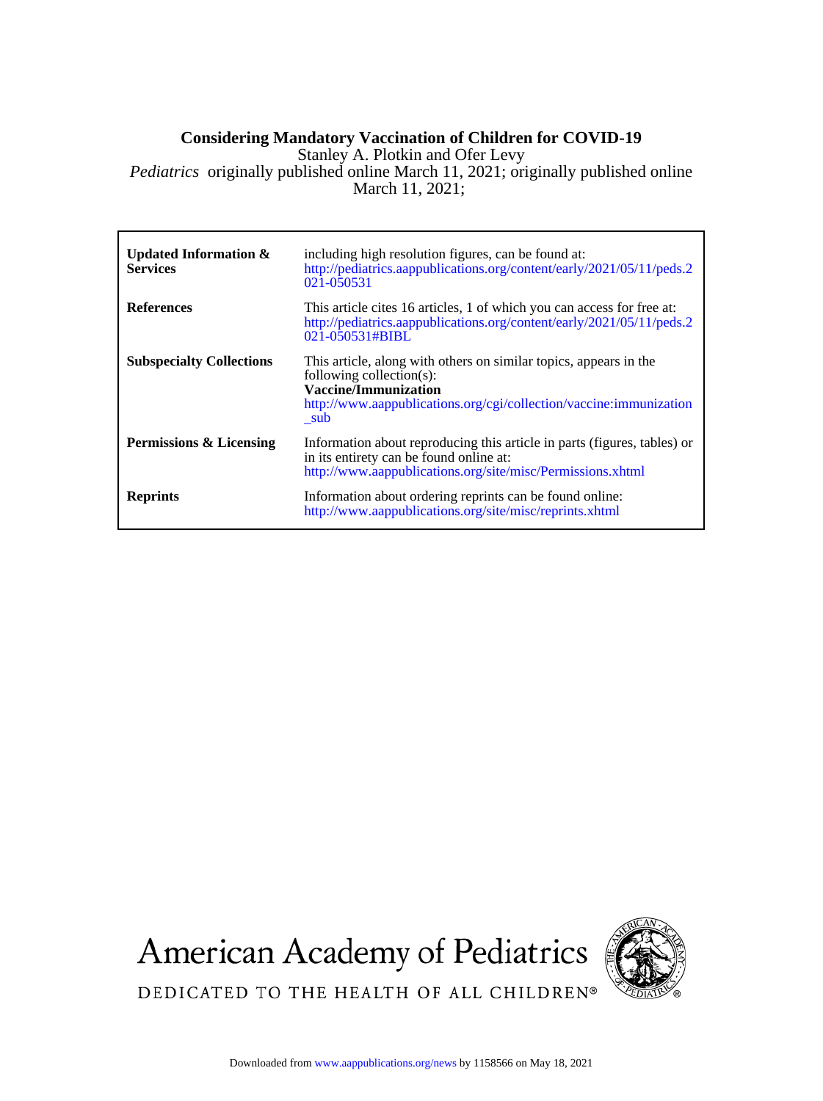### **Considering Mandatory Vaccination of Children for COVID-19**

Stanley A. Plotkin and Ofer Levy

March 11, 2021; *Pediatrics* originally published online March 11, 2021; originally published online

| <b>Updated Information &amp;</b><br><b>Services</b> | including high resolution figures, can be found at:<br>http://pediatrics.aappublications.org/content/early/2021/05/11/peds.2<br>021-050531                                                         |
|-----------------------------------------------------|----------------------------------------------------------------------------------------------------------------------------------------------------------------------------------------------------|
| <b>References</b>                                   | This article cites 16 articles, 1 of which you can access for free at:<br>http://pediatrics.aappublications.org/content/early/2021/05/11/peds.2<br>021-050531#BIBL                                 |
| <b>Subspecialty Collections</b>                     | This article, along with others on similar topics, appears in the<br>following collection(s):<br>Vaccine/Immunization<br>http://www.aappublications.org/cgi/collection/vaccine:immunization<br>sub |
| <b>Permissions &amp; Licensing</b>                  | Information about reproducing this article in parts (figures, tables) or<br>in its entirety can be found online at:<br>http://www.aappublications.org/site/misc/Permissions.xhtml                  |
| <b>Reprints</b>                                     | Information about ordering reprints can be found online:<br>http://www.aappublications.org/site/misc/reprints.xhtml                                                                                |

**American Academy of Pediatrics** 



DEDICATED TO THE HEALTH OF ALL CHILDREN®